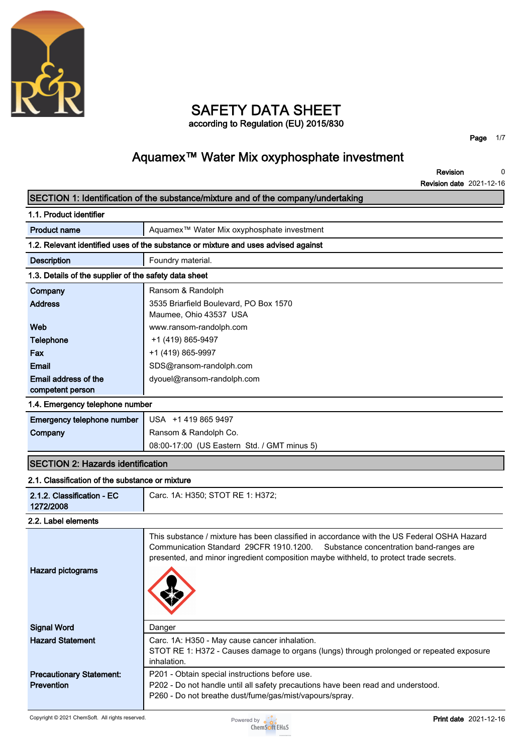

### **SAFETY DATA SHEET according to Regulation (EU) 2015/830**

**Page 1/7**

# **Aquamex™ Water Mix oxyphosphate investment**

**Revision 0**

|                                                       | <b>Revision date 2021-12-16</b>                                                                                                                                                                                                                                           |
|-------------------------------------------------------|---------------------------------------------------------------------------------------------------------------------------------------------------------------------------------------------------------------------------------------------------------------------------|
|                                                       | SECTION 1: Identification of the substance/mixture and of the company/undertaking                                                                                                                                                                                         |
| 1.1. Product identifier                               |                                                                                                                                                                                                                                                                           |
| <b>Product name</b>                                   | Aquamex <sup>™</sup> Water Mix oxyphosphate investment                                                                                                                                                                                                                    |
|                                                       | 1.2. Relevant identified uses of the substance or mixture and uses advised against                                                                                                                                                                                        |
| <b>Description</b>                                    | Foundry material.                                                                                                                                                                                                                                                         |
| 1.3. Details of the supplier of the safety data sheet |                                                                                                                                                                                                                                                                           |
| Company                                               | Ransom & Randolph                                                                                                                                                                                                                                                         |
| <b>Address</b>                                        | 3535 Briarfield Boulevard, PO Box 1570                                                                                                                                                                                                                                    |
|                                                       | Maumee, Ohio 43537 USA                                                                                                                                                                                                                                                    |
| Web                                                   | www.ransom-randolph.com                                                                                                                                                                                                                                                   |
| Telephone                                             | +1 (419) 865-9497                                                                                                                                                                                                                                                         |
| Fax                                                   | +1 (419) 865-9997                                                                                                                                                                                                                                                         |
| <b>Email</b>                                          | SDS@ransom-randolph.com                                                                                                                                                                                                                                                   |
| Email address of the                                  | dyouel@ransom-randolph.com                                                                                                                                                                                                                                                |
| competent person                                      |                                                                                                                                                                                                                                                                           |
| 1.4. Emergency telephone number                       |                                                                                                                                                                                                                                                                           |
| Emergency telephone number                            | USA +1 419 865 9497                                                                                                                                                                                                                                                       |
| Company                                               | Ransom & Randolph Co.                                                                                                                                                                                                                                                     |
|                                                       | 08:00-17:00 (US Eastern Std. / GMT minus 5)                                                                                                                                                                                                                               |
| <b>SECTION 2: Hazards identification</b>              |                                                                                                                                                                                                                                                                           |
| 2.1. Classification of the substance or mixture       |                                                                                                                                                                                                                                                                           |
| 2.1.2. Classification - EC<br>1272/2008               | Carc. 1A: H350; STOT RE 1: H372;                                                                                                                                                                                                                                          |
| 2.2. Label elements                                   |                                                                                                                                                                                                                                                                           |
| <b>Hazard pictograms</b>                              | This substance / mixture has been classified in accordance with the US Federal OSHA Hazard<br>Communication Standard 29CFR 1910.1200.<br>Substance concentration band-ranges are<br>presented, and minor ingredient composition maybe withheld, to protect trade secrets. |
| <b>Signal Word</b>                                    | Danger                                                                                                                                                                                                                                                                    |
| <b>Hazard Statement</b>                               | Carc. 1A: H350 - May cause cancer inhalation.<br>STOT RE 1: H372 - Causes damage to organs (lungs) through prolonged or repeated exposure<br>inhalation.                                                                                                                  |
| <b>Precautionary Statement:</b><br><b>Prevention</b>  | P201 - Obtain special instructions before use.<br>P202 - Do not handle until all safety precautions have been read and understood.<br>P260 - Do not breathe dust/fume/gas/mist/vapours/spray.                                                                             |

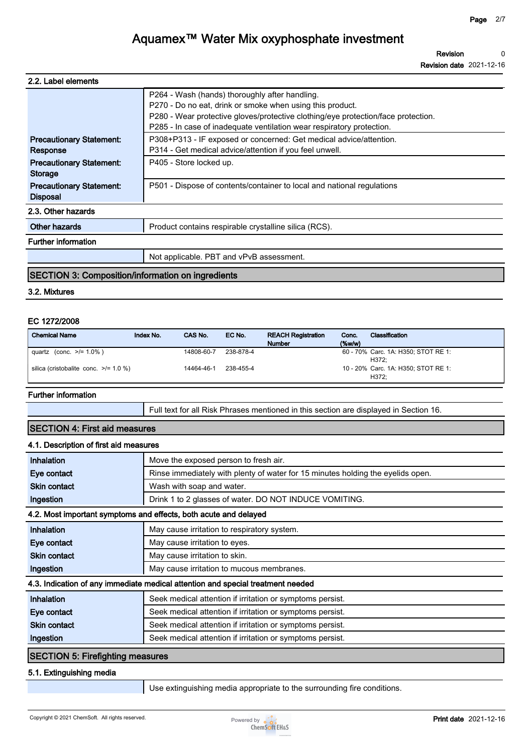**Revision Revision date 2021-12-16 0**

| 2.2. Label elements                                |                                                                                                                                                                                                                                                                           |
|----------------------------------------------------|---------------------------------------------------------------------------------------------------------------------------------------------------------------------------------------------------------------------------------------------------------------------------|
|                                                    | P264 - Wash (hands) thoroughly after handling.<br>P270 - Do no eat, drink or smoke when using this product.<br>P280 - Wear protective gloves/protective clothing/eye protection/face protection.<br>P285 - In case of inadequate ventilation wear respiratory protection. |
| <b>Precautionary Statement:</b><br>Response        | P308+P313 - IF exposed or concerned: Get medical advice/attention.<br>P314 - Get medical advice/attention if you feel unwell.                                                                                                                                             |
| <b>Precautionary Statement:</b><br><b>Storage</b>  | P405 - Store locked up.                                                                                                                                                                                                                                                   |
| <b>Precautionary Statement:</b><br><b>Disposal</b> | P501 - Dispose of contents/container to local and national regulations                                                                                                                                                                                                    |
| 2.3. Other hazards                                 |                                                                                                                                                                                                                                                                           |
| Other hazards                                      | Product contains respirable crystalline silica (RCS).                                                                                                                                                                                                                     |
| <b>Further information</b>                         |                                                                                                                                                                                                                                                                           |
|                                                    | Not applicable. PBT and vPvB assessment.                                                                                                                                                                                                                                  |

#### **SECTION 3: Composition/information on ingredients**

#### **3.2. Mixtures**

#### **EC 1272/2008**

| <b>Chemical Name</b>                       | Index No. | CAS No.    | EC No.    | <b>REACH Registration</b><br><b>Number</b> | Conc.<br>$(\%w/w)$ | Classification                               |
|--------------------------------------------|-----------|------------|-----------|--------------------------------------------|--------------------|----------------------------------------------|
| quartz (conc. $>1.0\%$ )                   |           | 14808-60-7 | 238-878-4 |                                            |                    | 60 - 70% Carc. 1A: H350; STOT RE 1:<br>H372: |
| silica (cristobalite conc. $\ge$ /= 1.0 %) |           | 14464-46-1 | 238-455-4 |                                            |                    | 10 - 20% Carc. 1A: H350; STOT RE 1:<br>H372: |

#### **Further information**

**Full text for all Risk Phrases mentioned in this section are displayed in Section 16.**

### **SECTION 4: First aid measures**

#### **4.1. Description of first aid measures**

| <b>Inhalation</b>                       | Move the exposed person to fresh air.                                           |
|-----------------------------------------|---------------------------------------------------------------------------------|
| Eye contact                             | Rinse immediately with plenty of water for 15 minutes holding the eyelids open. |
| <b>Skin contact</b>                     | Wash with soap and water.                                                       |
| Ingestion                               | Drink 1 to 2 glasses of water. DO NOT INDUCE VOMITING.                          |
|                                         | 4.2. Most important symptoms and effects, both acute and delayed                |
| Inhalation                              | May cause irritation to respiratory system.                                     |
| Eye contact                             | May cause irritation to eyes.                                                   |
| <b>Skin contact</b>                     | May cause irritation to skin.                                                   |
| Ingestion                               | May cause irritation to mucous membranes.                                       |
|                                         | 4.3. Indication of any immediate medical attention and special treatment needed |
| Inhalation                              | Seek medical attention if irritation or symptoms persist.                       |
| Eye contact                             | Seek medical attention if irritation or symptoms persist.                       |
| <b>Skin contact</b>                     | Seek medical attention if irritation or symptoms persist.                       |
| Ingestion                               | Seek medical attention if irritation or symptoms persist.                       |
| <b>SECTION 5: Firefighting measures</b> |                                                                                 |

#### **5.1. Extinguishing media**

**Use extinguishing media appropriate to the surrounding fire conditions.**

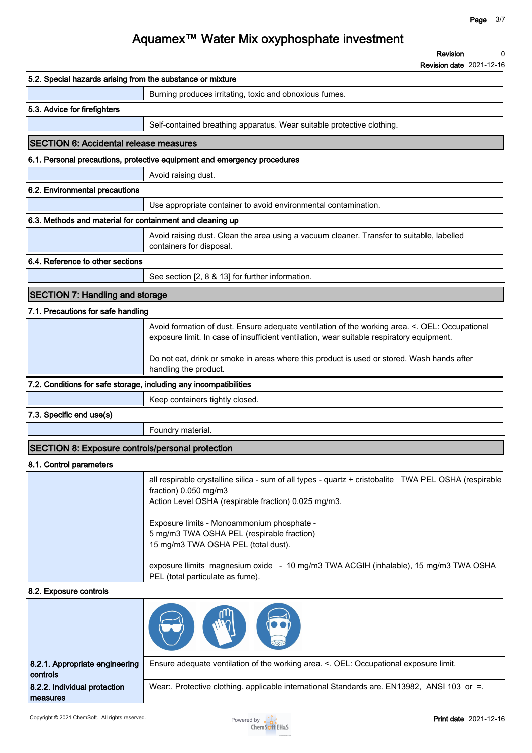**0**

**Revision**

# **Aquamex™ Water Mix oxyphosphate investment**

|                                                                   | <b>Revision date 2021-12-16</b>                                                                                                                                                                                                                                                                                           |
|-------------------------------------------------------------------|---------------------------------------------------------------------------------------------------------------------------------------------------------------------------------------------------------------------------------------------------------------------------------------------------------------------------|
| 5.2. Special hazards arising from the substance or mixture        |                                                                                                                                                                                                                                                                                                                           |
|                                                                   | Burning produces irritating, toxic and obnoxious fumes.                                                                                                                                                                                                                                                                   |
| 5.3. Advice for firefighters                                      |                                                                                                                                                                                                                                                                                                                           |
|                                                                   | Self-contained breathing apparatus. Wear suitable protective clothing.                                                                                                                                                                                                                                                    |
| <b>SECTION 6: Accidental release measures</b>                     |                                                                                                                                                                                                                                                                                                                           |
|                                                                   | 6.1. Personal precautions, protective equipment and emergency procedures                                                                                                                                                                                                                                                  |
|                                                                   | Avoid raising dust.                                                                                                                                                                                                                                                                                                       |
| 6.2. Environmental precautions                                    |                                                                                                                                                                                                                                                                                                                           |
|                                                                   | Use appropriate container to avoid environmental contamination.                                                                                                                                                                                                                                                           |
| 6.3. Methods and material for containment and cleaning up         |                                                                                                                                                                                                                                                                                                                           |
|                                                                   | Avoid raising dust. Clean the area using a vacuum cleaner. Transfer to suitable, labelled<br>containers for disposal.                                                                                                                                                                                                     |
| 6.4. Reference to other sections                                  |                                                                                                                                                                                                                                                                                                                           |
|                                                                   | See section [2, 8 & 13] for further information.                                                                                                                                                                                                                                                                          |
| <b>SECTION 7: Handling and storage</b>                            |                                                                                                                                                                                                                                                                                                                           |
| 7.1. Precautions for safe handling                                |                                                                                                                                                                                                                                                                                                                           |
|                                                                   | Avoid formation of dust. Ensure adequate ventilation of the working area. <. OEL: Occupational<br>exposure limit. In case of insufficient ventilation, wear suitable respiratory equipment.                                                                                                                               |
|                                                                   | Do not eat, drink or smoke in areas where this product is used or stored. Wash hands after<br>handling the product.                                                                                                                                                                                                       |
| 7.2. Conditions for safe storage, including any incompatibilities |                                                                                                                                                                                                                                                                                                                           |
|                                                                   | Keep containers tightly closed.                                                                                                                                                                                                                                                                                           |
| 7.3. Specific end use(s)                                          |                                                                                                                                                                                                                                                                                                                           |
|                                                                   | Foundry material.                                                                                                                                                                                                                                                                                                         |
| <b>SECTION 8: Exposure controls/personal protection</b>           |                                                                                                                                                                                                                                                                                                                           |
| 8.1. Control parameters                                           |                                                                                                                                                                                                                                                                                                                           |
|                                                                   | all respirable crystalline silica - sum of all types - quartz + cristobalite TWA PEL OSHA (respirable<br>fraction) 0.050 mg/m3<br>Action Level OSHA (respirable fraction) 0.025 mg/m3.<br>Exposure limits - Monoammonium phosphate -<br>5 mg/m3 TWA OSHA PEL (respirable fraction)<br>15 mg/m3 TWA OSHA PEL (total dust). |
|                                                                   | exposure llimits magnesium oxide - 10 mg/m3 TWA ACGIH (inhalable), 15 mg/m3 TWA OSHA<br>PEL (total particulate as fume).                                                                                                                                                                                                  |
| 8.2. Exposure controls                                            |                                                                                                                                                                                                                                                                                                                           |
|                                                                   |                                                                                                                                                                                                                                                                                                                           |
| 8.2.1. Appropriate engineering<br>controls                        | Ensure adequate ventilation of the working area. <. OEL: Occupational exposure limit.                                                                                                                                                                                                                                     |

**8.2.2. Individual protection measures Wear:. Protective clothing. applicable international Standards are. EN13982, ANSI 103 or =.**

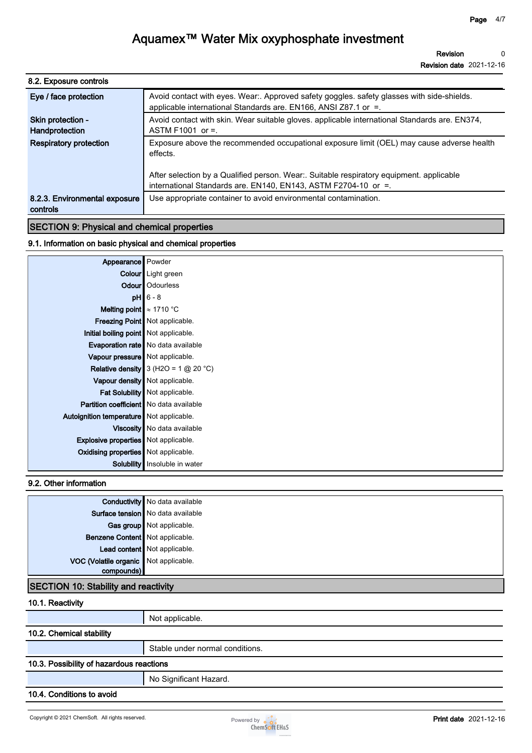| 8.2. Exposure controls                    |                                                                                                                                                               |
|-------------------------------------------|---------------------------------------------------------------------------------------------------------------------------------------------------------------|
| Eye / face protection                     | Avoid contact with eyes. Wear:. Approved safety goggles. safety glasses with side-shields.<br>applicable international Standards are. EN166, ANSI Z87.1 or =. |
| Skin protection -<br>Handprotection       | Avoid contact with skin. Wear suitable gloves. applicable international Standards are. EN374,<br>ASTM F1001 or $=$ .                                          |
| <b>Respiratory protection</b>             | Exposure above the recommended occupational exposure limit (OEL) may cause adverse health<br>effects.                                                         |
|                                           | After selection by a Qualified person. Wear: Suitable respiratory equipment. applicable<br>international Standards are. EN140, EN143, ASTM F2704-10 or =.     |
| 8.2.3. Environmental exposure<br>controls | Use appropriate container to avoid environmental contamination.                                                                                               |
|                                           |                                                                                                                                                               |

#### **SECTION 9: Physical and chemical properties**

#### **9.1. Information on basic physical and chemical properties**

| Appearance Powder                              |                                               |
|------------------------------------------------|-----------------------------------------------|
|                                                | Colour   Light green                          |
|                                                | Odour   Odourless                             |
|                                                | $pH$ 6 - 8                                    |
| Melting point $\approx 1710$ °C                |                                               |
|                                                | <b>Freezing Point</b> Not applicable.         |
| Initial boiling point   Not applicable.        |                                               |
|                                                | <b>Evaporation rate</b> No data available     |
| Vapour pressure Not applicable.                |                                               |
|                                                | <b>Relative density</b> 3 (H2O = 1 $@$ 20 °C) |
|                                                | Vapour density   Not applicable.              |
|                                                | Fat Solubility   Not applicable.              |
| <b>Partition coefficient</b> No data available |                                               |
| Autoignition temperature Not applicable.       |                                               |
|                                                | Viscosity   No data available                 |
| <b>Explosive properties</b> Not applicable.    |                                               |
| <b>Oxidising properties</b> Not applicable.    |                                               |
|                                                | <b>Solubility</b> Insoluble in water          |

#### **9.2. Other information**

|                                       | <b>Conductivity</b> No data available |
|---------------------------------------|---------------------------------------|
|                                       | Surface tension   No data available   |
|                                       | Gas group Not applicable.             |
| Benzene Content Not applicable.       |                                       |
|                                       | Lead content Not applicable.          |
| VOC (Volatile organic Not applicable. |                                       |
|                                       |                                       |

### **SECTION 10: Stability and reactivity**

#### **10.1. Reactivity**

|                                          | Not applicable.                 |  |  |
|------------------------------------------|---------------------------------|--|--|
| 10.2. Chemical stability                 |                                 |  |  |
|                                          | Stable under normal conditions. |  |  |
| 10.3. Possibility of hazardous reactions |                                 |  |  |
|                                          | No Significant Hazard.          |  |  |

#### **10.4. Conditions to avoid**

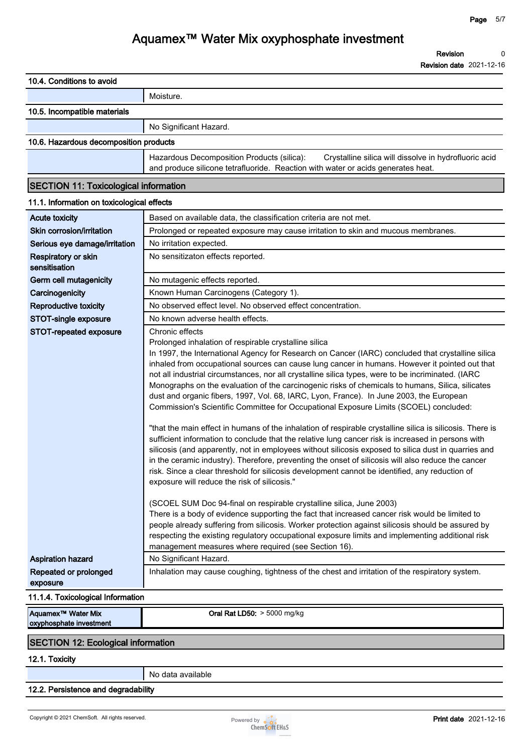**Revision date 2021-12-16**

| 10.4. Conditions to avoid                                 |                                                                                                                                                                                                                                                                                                                                                                                                                                                                                                                                                                                                                                                                                                                                                                                                                                                                                                                                                                                                                                                                                                                                                                                                                                                                                                                                                                                                                                                                                                                                                                                                                                                                                                             |
|-----------------------------------------------------------|-------------------------------------------------------------------------------------------------------------------------------------------------------------------------------------------------------------------------------------------------------------------------------------------------------------------------------------------------------------------------------------------------------------------------------------------------------------------------------------------------------------------------------------------------------------------------------------------------------------------------------------------------------------------------------------------------------------------------------------------------------------------------------------------------------------------------------------------------------------------------------------------------------------------------------------------------------------------------------------------------------------------------------------------------------------------------------------------------------------------------------------------------------------------------------------------------------------------------------------------------------------------------------------------------------------------------------------------------------------------------------------------------------------------------------------------------------------------------------------------------------------------------------------------------------------------------------------------------------------------------------------------------------------------------------------------------------------|
|                                                           | Moisture.                                                                                                                                                                                                                                                                                                                                                                                                                                                                                                                                                                                                                                                                                                                                                                                                                                                                                                                                                                                                                                                                                                                                                                                                                                                                                                                                                                                                                                                                                                                                                                                                                                                                                                   |
| 10.5. Incompatible materials                              |                                                                                                                                                                                                                                                                                                                                                                                                                                                                                                                                                                                                                                                                                                                                                                                                                                                                                                                                                                                                                                                                                                                                                                                                                                                                                                                                                                                                                                                                                                                                                                                                                                                                                                             |
|                                                           | No Significant Hazard.                                                                                                                                                                                                                                                                                                                                                                                                                                                                                                                                                                                                                                                                                                                                                                                                                                                                                                                                                                                                                                                                                                                                                                                                                                                                                                                                                                                                                                                                                                                                                                                                                                                                                      |
| 10.6. Hazardous decomposition products                    |                                                                                                                                                                                                                                                                                                                                                                                                                                                                                                                                                                                                                                                                                                                                                                                                                                                                                                                                                                                                                                                                                                                                                                                                                                                                                                                                                                                                                                                                                                                                                                                                                                                                                                             |
|                                                           | Hazardous Decomposition Products (silica):<br>Crystalline silica will dissolve in hydrofluoric acid<br>and produce silicone tetrafluoride. Reaction with water or acids generates heat.                                                                                                                                                                                                                                                                                                                                                                                                                                                                                                                                                                                                                                                                                                                                                                                                                                                                                                                                                                                                                                                                                                                                                                                                                                                                                                                                                                                                                                                                                                                     |
| <b>SECTION 11: Toxicological information</b>              |                                                                                                                                                                                                                                                                                                                                                                                                                                                                                                                                                                                                                                                                                                                                                                                                                                                                                                                                                                                                                                                                                                                                                                                                                                                                                                                                                                                                                                                                                                                                                                                                                                                                                                             |
| 11.1. Information on toxicological effects                |                                                                                                                                                                                                                                                                                                                                                                                                                                                                                                                                                                                                                                                                                                                                                                                                                                                                                                                                                                                                                                                                                                                                                                                                                                                                                                                                                                                                                                                                                                                                                                                                                                                                                                             |
| <b>Acute toxicity</b>                                     | Based on available data, the classification criteria are not met.                                                                                                                                                                                                                                                                                                                                                                                                                                                                                                                                                                                                                                                                                                                                                                                                                                                                                                                                                                                                                                                                                                                                                                                                                                                                                                                                                                                                                                                                                                                                                                                                                                           |
| Skin corrosion/irritation                                 | Prolonged or repeated exposure may cause irritation to skin and mucous membranes.                                                                                                                                                                                                                                                                                                                                                                                                                                                                                                                                                                                                                                                                                                                                                                                                                                                                                                                                                                                                                                                                                                                                                                                                                                                                                                                                                                                                                                                                                                                                                                                                                           |
| Serious eye damage/irritation                             | No irritation expected.                                                                                                                                                                                                                                                                                                                                                                                                                                                                                                                                                                                                                                                                                                                                                                                                                                                                                                                                                                                                                                                                                                                                                                                                                                                                                                                                                                                                                                                                                                                                                                                                                                                                                     |
| Respiratory or skin<br>sensitisation                      | No sensitizaton effects reported.                                                                                                                                                                                                                                                                                                                                                                                                                                                                                                                                                                                                                                                                                                                                                                                                                                                                                                                                                                                                                                                                                                                                                                                                                                                                                                                                                                                                                                                                                                                                                                                                                                                                           |
| Germ cell mutagenicity                                    | No mutagenic effects reported.                                                                                                                                                                                                                                                                                                                                                                                                                                                                                                                                                                                                                                                                                                                                                                                                                                                                                                                                                                                                                                                                                                                                                                                                                                                                                                                                                                                                                                                                                                                                                                                                                                                                              |
| Carcinogenicity                                           | Known Human Carcinogens (Category 1).                                                                                                                                                                                                                                                                                                                                                                                                                                                                                                                                                                                                                                                                                                                                                                                                                                                                                                                                                                                                                                                                                                                                                                                                                                                                                                                                                                                                                                                                                                                                                                                                                                                                       |
| Reproductive toxicity                                     | No observed effect level. No observed effect concentration.                                                                                                                                                                                                                                                                                                                                                                                                                                                                                                                                                                                                                                                                                                                                                                                                                                                                                                                                                                                                                                                                                                                                                                                                                                                                                                                                                                                                                                                                                                                                                                                                                                                 |
| STOT-single exposure                                      | No known adverse health effects.                                                                                                                                                                                                                                                                                                                                                                                                                                                                                                                                                                                                                                                                                                                                                                                                                                                                                                                                                                                                                                                                                                                                                                                                                                                                                                                                                                                                                                                                                                                                                                                                                                                                            |
| STOT-repeated exposure                                    | Chronic effects<br>Prolonged inhalation of respirable crystalline silica<br>In 1997, the International Agency for Research on Cancer (IARC) concluded that crystalline silica<br>inhaled from occupational sources can cause lung cancer in humans. However it pointed out that<br>not all industrial circumstances, nor all crystalline silica types, were to be incriminated. (IARC<br>Monographs on the evaluation of the carcinogenic risks of chemicals to humans, Silica, silicates<br>dust and organic fibers, 1997, Vol. 68, IARC, Lyon, France). In June 2003, the European<br>Commission's Scientific Committee for Occupational Exposure Limits (SCOEL) concluded:<br>"that the main effect in humans of the inhalation of respirable crystalline silica is silicosis. There is<br>sufficient information to conclude that the relative lung cancer risk is increased in persons with<br>silicosis (and apparently, not in employees without silicosis exposed to silica dust in quarries and<br>in the ceramic industry). Therefore, preventing the onset of silicosis will also reduce the cancer<br>risk. Since a clear threshold for silicosis development cannot be identified, any reduction of<br>exposure will reduce the risk of silicosis."<br>(SCOEL SUM Doc 94-final on respirable crystalline silica, June 2003)<br>There is a body of evidence supporting the fact that increased cancer risk would be limited to<br>people already suffering from silicosis. Worker protection against silicosis should be assured by<br>respecting the existing regulatory occupational exposure limits and implementing additional risk<br>management measures where required (see Section 16). |
| <b>Aspiration hazard</b>                                  | No Significant Hazard.                                                                                                                                                                                                                                                                                                                                                                                                                                                                                                                                                                                                                                                                                                                                                                                                                                                                                                                                                                                                                                                                                                                                                                                                                                                                                                                                                                                                                                                                                                                                                                                                                                                                                      |
| Repeated or prolonged<br>exposure                         | Inhalation may cause coughing, tightness of the chest and irritation of the respiratory system.                                                                                                                                                                                                                                                                                                                                                                                                                                                                                                                                                                                                                                                                                                                                                                                                                                                                                                                                                                                                                                                                                                                                                                                                                                                                                                                                                                                                                                                                                                                                                                                                             |
| 11.1.4. Toxicological Information                         |                                                                                                                                                                                                                                                                                                                                                                                                                                                                                                                                                                                                                                                                                                                                                                                                                                                                                                                                                                                                                                                                                                                                                                                                                                                                                                                                                                                                                                                                                                                                                                                                                                                                                                             |
| Aquamex <sup>™</sup> Water Mix<br>oxyphosphate investment | Oral Rat LD50: $> 5000$ mg/kg                                                                                                                                                                                                                                                                                                                                                                                                                                                                                                                                                                                                                                                                                                                                                                                                                                                                                                                                                                                                                                                                                                                                                                                                                                                                                                                                                                                                                                                                                                                                                                                                                                                                               |
| <b>SECTION 12: Ecological information</b>                 |                                                                                                                                                                                                                                                                                                                                                                                                                                                                                                                                                                                                                                                                                                                                                                                                                                                                                                                                                                                                                                                                                                                                                                                                                                                                                                                                                                                                                                                                                                                                                                                                                                                                                                             |
| 12.1. Toxicity                                            |                                                                                                                                                                                                                                                                                                                                                                                                                                                                                                                                                                                                                                                                                                                                                                                                                                                                                                                                                                                                                                                                                                                                                                                                                                                                                                                                                                                                                                                                                                                                                                                                                                                                                                             |
|                                                           | No data available                                                                                                                                                                                                                                                                                                                                                                                                                                                                                                                                                                                                                                                                                                                                                                                                                                                                                                                                                                                                                                                                                                                                                                                                                                                                                                                                                                                                                                                                                                                                                                                                                                                                                           |
| 12.2. Persistence and degradability                       |                                                                                                                                                                                                                                                                                                                                                                                                                                                                                                                                                                                                                                                                                                                                                                                                                                                                                                                                                                                                                                                                                                                                                                                                                                                                                                                                                                                                                                                                                                                                                                                                                                                                                                             |

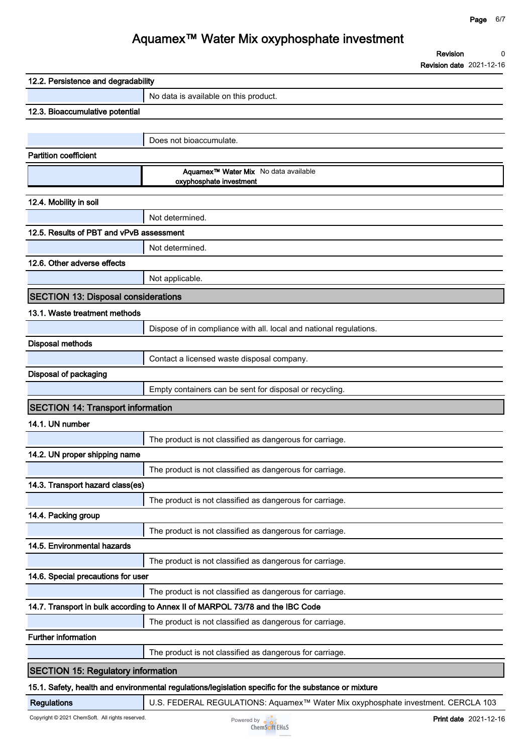#### **Page 6/7**

**0**

**Revision**

# **Aquamex™ Water Mix oxyphosphate investment**

|                                            | <b>Revision date</b> 2021-12-16                                                                    |
|--------------------------------------------|----------------------------------------------------------------------------------------------------|
| 12.2. Persistence and degradability        |                                                                                                    |
|                                            | No data is available on this product.                                                              |
| 12.3. Bioaccumulative potential            |                                                                                                    |
|                                            |                                                                                                    |
|                                            | Does not bioaccumulate.                                                                            |
| <b>Partition coefficient</b>               |                                                                                                    |
|                                            | Aquamex <sup>™</sup> Water Mix No data available<br>oxyphosphate investment                        |
| 12.4. Mobility in soil                     |                                                                                                    |
|                                            | Not determined.                                                                                    |
| 12.5. Results of PBT and vPvB assessment   |                                                                                                    |
|                                            | Not determined.                                                                                    |
| 12.6. Other adverse effects                |                                                                                                    |
|                                            | Not applicable.                                                                                    |
|                                            |                                                                                                    |
| <b>SECTION 13: Disposal considerations</b> |                                                                                                    |
| 13.1. Waste treatment methods              |                                                                                                    |
|                                            | Dispose of in compliance with all. local and national regulations.                                 |
| Disposal methods                           |                                                                                                    |
|                                            | Contact a licensed waste disposal company.                                                         |
| Disposal of packaging                      |                                                                                                    |
|                                            | Empty containers can be sent for disposal or recycling.                                            |
| <b>SECTION 14: Transport information</b>   |                                                                                                    |
| 14.1. UN number                            |                                                                                                    |
|                                            | The product is not classified as dangerous for carriage.                                           |
| 14.2. UN proper shipping name              |                                                                                                    |
|                                            | The product is not classified as dangerous for carriage.                                           |
| 14.3. Transport hazard class(es)           |                                                                                                    |
|                                            | The product is not classified as dangerous for carriage.                                           |
| 14.4. Packing group                        |                                                                                                    |
|                                            | The product is not classified as dangerous for carriage.                                           |
| 14.5. Environmental hazards                |                                                                                                    |
|                                            | The product is not classified as dangerous for carriage.                                           |
| 14.6. Special precautions for user         |                                                                                                    |
|                                            | The product is not classified as dangerous for carriage.                                           |
|                                            | 14.7. Transport in bulk according to Annex II of MARPOL 73/78 and the IBC Code                     |
|                                            | The product is not classified as dangerous for carriage.                                           |
| <b>Further information</b>                 |                                                                                                    |
|                                            | The product is not classified as dangerous for carriage.                                           |
|                                            |                                                                                                    |
| <b>SECTION 15: Regulatory information</b>  |                                                                                                    |
|                                            | 15.1 Safety, health and environmental requisions/legislation specific for the substance or mixture |

#### **15.1. Safety, health and environmental regulations/legislation specific for the substance or mixture**

**Regulations U.S. FEDERAL REGULATIONS: Aquamex™ Water Mix oxyphosphate investment. CERCLA 103**